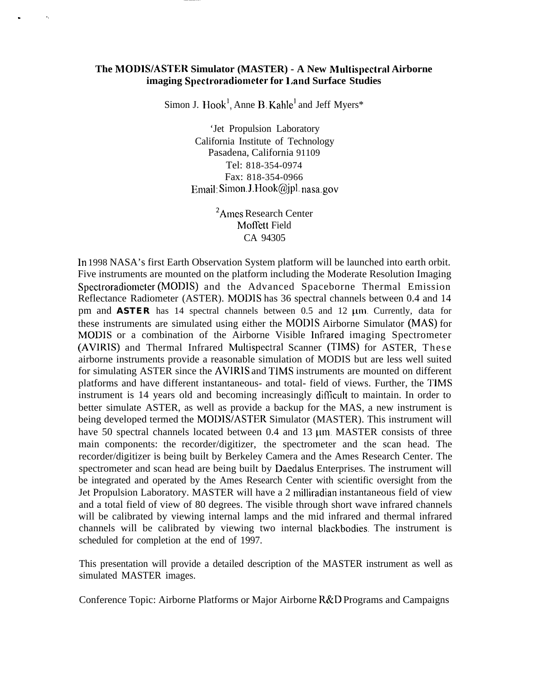## **The** NIODIS/ASTER **Simulator (MASTER) - A New Multispectral Airborne imaging Spectroradiometer for liand Surface Studies**

 $\mathbf{r} = \mathbf{r} \times \mathbf{r}$ 

Simon J. Hook<sup>1</sup>, Anne B. Kahle<sup>1</sup> and Jeff Myers<sup>\*</sup>

'Jet Propulsion Laboratory California Institute of Technology Pasadena, California 91109 Tel: 818-354-0974 Fax: 818-354-0966 Email: Simon.J.Hook@jpl. nasa.gov

> <sup>2</sup>Ames Research Center Moffett Field CA 94305

In 1998 NASA's first Earth Observation System platform will be launched into earth orbit. Five instruments are mounted on the platform including the Moderate Resolution Imaging Spectroradiometer (MODIS) and the Advanced Spaceborne Thermal Emission Reflectance Radiometer (ASTER). MODIS has 36 spectral channels between 0.4 and 14 pm and **ASTER** has 14 spectral channels between 0.5 and 12  $\mu$ m. Currently, data for these instruments are simulated using either the MODIS Airborne Simulator (MAS) for MODIS or a combination of the Airborne Visible ]nfrared imaging Spectrometer (AVIRIS) and Thermal Infrared Multispectral Scanner (TIMS) for ASTER, These airborne instruments provide a reasonable simulation of MODIS but are less well suited for simulating ASTER since the AVIRIS and TIMS instruments are mounted on different platforms and have different instantaneous- and total- field of views. Further, the TIMS instrument is 14 years old and becoming increasingly difficult to maintain. In order to better simulate ASTER, as well as provide a backup for the MAS, a new instrument is being developed termed the MODIS/ASTER Simulator (MASTER). This instrument will have 50 spectral channels located between  $0.4$  and  $13 \mu m$ . MASTER consists of three main components: the recorder/digitizer, the spectrometer and the scan head. The recorder/digitizer is being built by Berkeley Camera and the Ames Research Center. The spectrometer and scan head are being built by Daedalus Enterprises. The instrument will be integrated and operated by the Ames Research Center with scientific oversight from the Jet Propulsion Laboratory. MASTER will have a 2 milliradian instantaneous field of view and a total field of view of 80 degrees. The visible through short wave infrared channels will be calibrated by viewing internal lamps and the mid infrared and thermal infrared channels will be calibrated by viewing two internal blackbodies. The instrument is scheduled for completion at the end of 1997.

This presentation will provide a detailed description of the MASTER instrument as well as simulated MASTER images.

Conference Topic: Airborne Platforms or Major Airborne R&D Programs and Campaigns